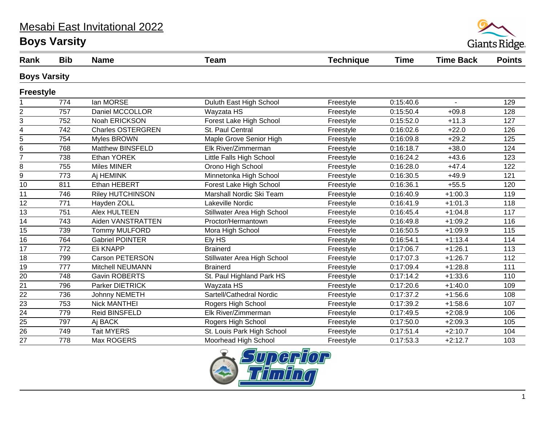#### Mesabi East Invitational 2022

# **Boys Varsity**



| Rank                | <b>Bib</b> | <b>Name</b>              | <b>Team</b>                 | <b>Technique</b> | <b>Time</b> | <b>Time Back</b> | <b>Points</b> |  |
|---------------------|------------|--------------------------|-----------------------------|------------------|-------------|------------------|---------------|--|
| <b>Boys Varsity</b> |            |                          |                             |                  |             |                  |               |  |
| <b>Freestyle</b>    |            |                          |                             |                  |             |                  |               |  |
|                     | 774        | lan MORSE                | Duluth East High School     | Freestyle        | 0:15:40.6   | $\sim$           | 129           |  |
| $\overline{c}$      | 757        | Daniel MCCOLLOR          | Wayzata HS                  | Freestyle        | 0:15:50.4   | $+09.8$          | 128           |  |
| 3                   | 752        | Noah ERICKSON            | Forest Lake High School     | Freestyle        | 0:15:52.0   | $+11.3$          | 127           |  |
| $\overline{4}$      | 742        | <b>Charles OSTERGREN</b> | St. Paul Central            | Freestyle        | 0:16:02.6   | $+22.0$          | 126           |  |
| 5                   | 754        | <b>Myles BROWN</b>       | Maple Grove Senior High     | Freestyle        | 0:16:09.8   | $+29.2$          | 125           |  |
| 6                   | 768        | Matthew BINSFELD         | Elk River/Zimmerman         | Freestyle        | 0:16:18.7   | $+38.0$          | 124           |  |
| $\overline{7}$      | 738        | Ethan YOREK              | Little Falls High School    | Freestyle        | 0:16:24.2   | $+43.6$          | 123           |  |
| 8                   | 755        | <b>Miles MINER</b>       | Orono High School           | Freestyle        | 0:16:28.0   | $+47.4$          | 122           |  |
| 9                   | 773        | Aj HEMINK                | Minnetonka High School      | Freestyle        | 0:16:30.5   | $+49.9$          | 121           |  |
| 10                  | 811        | Ethan HEBERT             | Forest Lake High School     | Freestyle        | 0:16:36.1   | $+55.5$          | 120           |  |
| 11                  | 746        | <b>Riley HUTCHINSON</b>  | Marshall Nordic Ski Team    | Freestyle        | 0:16:40.9   | $+1:00.3$        | 119           |  |
| 12                  | 771        | Hayden ZOLL              | Lakeville Nordic            | Freestyle        | 0:16:41.9   | $+1:01.3$        | 118           |  |
| $\overline{13}$     | 751        | <b>Alex HULTEEN</b>      | Stillwater Area High School | Freestyle        | 0:16:45.4   | $+1:04.8$        | 117           |  |
| $\overline{14}$     | 743        | Aiden VANSTRATTEN        | Proctor/Hermantown          | Freestyle        | 0:16:49.8   | $+1:09.2$        | 116           |  |
| 15                  | 739        | <b>Tommy MULFORD</b>     | Mora High School            | Freestyle        | 0:16:50.5   | $+1:09.9$        | 115           |  |
| $\overline{16}$     | 764        | <b>Gabriel POINTER</b>   | Ely HS                      | Freestyle        | 0:16:54.1   | $+1:13.4$        | 114           |  |
| 17                  | 772        | Eli KNAPP                | <b>Brainerd</b>             | Freestyle        | 0:17:06.7   | $+1:26.1$        | 113           |  |
| 18                  | 799        | Carson PETERSON          | Stillwater Area High School | Freestyle        | 0:17:07.3   | $+1:26.7$        | 112           |  |
| $\overline{19}$     | 777        | Mitchell NEUMANN         | <b>Brainerd</b>             | Freestyle        | 0:17:09.4   | $+1:28.8$        | 111           |  |
| 20                  | 748        | <b>Gavin ROBERTS</b>     | St. Paul Highland Park HS   | Freestyle        | 0:17:14.2   | $+1:33.6$        | 110           |  |
| 21                  | 796        | <b>Parker DIETRICK</b>   | Wayzata HS                  | Freestyle        | 0:17:20.6   | $+1:40.0$        | 109           |  |
| $\overline{22}$     | 736        | Johnny NEMETH            | Sartell/Cathedral Nordic    | Freestyle        | 0:17:37.2   | $+1:56.6$        | 108           |  |
| $\overline{23}$     | 753        | <b>Nick MANTHEI</b>      | Rogers High School          | Freestyle        | 0:17:39.2   | $+1:58.6$        | 107           |  |
| 24                  | 779        | Reid BINSFELD            | Elk River/Zimmerman         | Freestyle        | 0:17:49.5   | $+2:08.9$        | 106           |  |
| 25                  | 797        | Aj BACK                  | Rogers High School          | Freestyle        | 0:17:50.0   | $+2:09.3$        | 105           |  |
| $\overline{26}$     | 749        | <b>Tait MYERS</b>        | St. Louis Park High School  | Freestyle        | 0:17:51.4   | $+2:10.7$        | 104           |  |
| 27                  | 778        | Max ROGERS               | Moorhead High School        | Freestyle        | 0:17:53.3   | $+2:12.7$        | 103           |  |

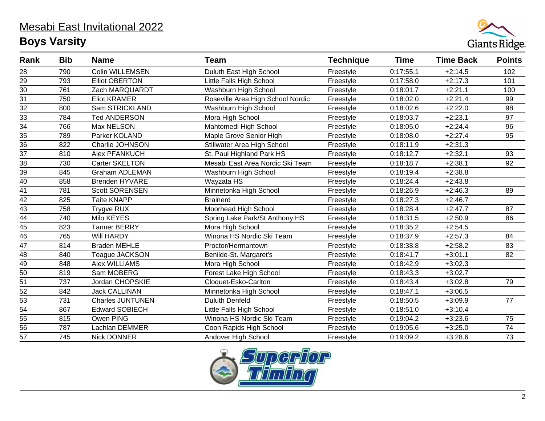

| Rank            | <b>Bib</b> | <b>Name</b>             | <b>Team</b>                       | <b>Technique</b> | Time      | <b>Time Back</b> | <b>Points</b> |
|-----------------|------------|-------------------------|-----------------------------------|------------------|-----------|------------------|---------------|
| 28              | 790        | <b>Colin WILLEMSEN</b>  | Duluth East High School           | Freestyle        | 0:17:55.1 | $+2:14.5$        | 102           |
| $\overline{29}$ | 793        | <b>Elliot OBERTON</b>   | Little Falls High School          | Freestyle        | 0:17:58.0 | $+2:17.3$        | 101           |
| $\overline{30}$ | 761        | Zach MARQUARDT          | Washburn High School              | Freestyle        | 0:18:01.7 | $+2:21.1$        | 100           |
| $\overline{31}$ | 750        | <b>Eliot KRAMER</b>     | Roseville Area High School Nordic | Freestyle        | 0:18:02.0 | $+2:21.4$        | 99            |
| $\overline{32}$ | 800        | Sam STRICKLAND          | Washburn High School              | Freestyle        | 0:18:02.6 | $+2:22.0$        | 98            |
| $\overline{33}$ | 784        | <b>Ted ANDERSON</b>     | Mora High School                  | Freestyle        | 0:18:03.7 | $+2:23.1$        | 97            |
| $\overline{34}$ | 766        | Max NELSON              | Mahtomedi High School             | Freestyle        | 0:18:05.0 | $+2:24.4$        | 96            |
| 35              | 789        | Parker KOLAND           | Maple Grove Senior High           | Freestyle        | 0:18:08.0 | $+2:27.4$        | 95            |
| $\overline{36}$ | 822        | Charlie JOHNSON         | Stillwater Area High School       | Freestyle        | 0:18:11.9 | $+2:31.3$        |               |
| $\overline{37}$ | 810        | Alex PFANKUCH           | St. Paul Highland Park HS         | Freestyle        | 0:18:12.7 | $+2:32.1$        | 93            |
| 38              | 730        | Carter SKELTON          | Mesabi East Area Nordic Ski Team  | Freestyle        | 0:18:18.7 | $+2:38.1$        | 92            |
| $\overline{39}$ | 845        | <b>Graham ADLEMAN</b>   | Washburn High School              | Freestyle        | 0:18:19.4 | $+2:38.8$        |               |
| $\frac{40}{41}$ | 858        | Brenden HYVARE          | Wayzata HS                        | Freestyle        | 0:18:24.4 | $+2:43.8$        |               |
|                 | 781        | Scott SORENSEN          | Minnetonka High School            | Freestyle        | 0:18:26.9 | $+2:46.3$        | 89            |
| $\overline{42}$ | 825        | <b>Taite KNAPP</b>      | <b>Brainerd</b>                   | Freestyle        | 0:18:27.3 | $+2:46.7$        |               |
| $\overline{43}$ | 758        | Trygve RUX              | Moorhead High School              | Freestyle        | 0:18:28.4 | $+2:47.7$        | 87            |
| $\overline{44}$ | 740        | Milo KEYES              | Spring Lake Park/St Anthony HS    | Freestyle        | 0:18:31.5 | $+2:50.9$        | 86            |
| $\frac{1}{45}$  | 823        | <b>Tanner BERRY</b>     | Mora High School                  | Freestyle        | 0:18:35.2 | $+2:54.5$        |               |
| $\overline{46}$ | 765        | Will HARDY              | Winona HS Nordic Ski Team         | Freestyle        | 0:18:37.9 | $+2:57.3$        | 84            |
| $\overline{47}$ | 814        | <b>Braden MEHLE</b>     | Proctor/Hermantown                | Freestyle        | 0:18:38.8 | $+2:58.2$        | 83            |
| $\frac{48}{49}$ | 840        | Teague JACKSON          | Benilde-St. Margaret's            | Freestyle        | 0:18:41.7 | $+3:01.1$        | 82            |
|                 | 848        | <b>Alex WILLIAMS</b>    | Mora High School                  | Freestyle        | 0:18:42.9 | $+3:02.3$        |               |
| 50              | 819        | Sam MOBERG              | Forest Lake High School           | Freestyle        | 0:18:43.3 | $+3:02.7$        |               |
| 51              | 737        | Jordan CHOPSKIE         | Cloquet-Esko-Carlton              | Freestyle        | 0:18:43.4 | $+3:02.8$        | 79            |
| $\overline{52}$ | 842        | <b>Jack CALLINAN</b>    | Minnetonka High School            | Freestyle        | 0:18:47.1 | $+3:06.5$        |               |
| $\overline{53}$ | 731        | <b>Charles JUNTUNEN</b> | <b>Duluth Denfeld</b>             | Freestyle        | 0:18:50.5 | $+3:09.9$        | 77            |
| $\overline{54}$ | 867        | <b>Edward SOBIECH</b>   | Little Falls High School          | Freestyle        | 0:18:51.0 | $+3:10.4$        |               |
| $\overline{55}$ | 815        | Owen PING               | Winona HS Nordic Ski Team         | Freestyle        | 0:19:04.2 | $+3:23.6$        | 75            |
| $\overline{56}$ | 787        | Lachlan DEMMER          | Coon Rapids High School           | Freestyle        | 0:19:05.6 | $+3:25.0$        | 74            |
| $\overline{57}$ | 745        | <b>Nick DONNER</b>      | Andover High School               | Freestyle        | 0:19:09.2 | $+3:28.6$        | 73            |

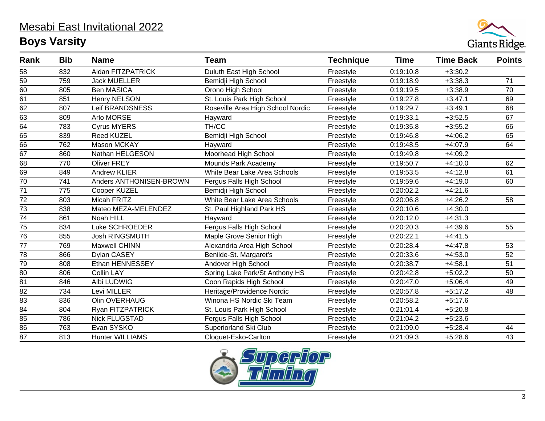

| Rank            | <b>Bib</b> | <b>Name</b>             | <b>Team</b>                       | <b>Technique</b> | <b>Time</b> | <b>Time Back</b> | <b>Points</b> |
|-----------------|------------|-------------------------|-----------------------------------|------------------|-------------|------------------|---------------|
| 58              | 832        | Aidan FITZPATRICK       | Duluth East High School           | Freestyle        | 0:19:10.8   | $+3:30.2$        |               |
| 59              | 759        | <b>Jack MUELLER</b>     | Bemidji High School               | Freestyle        | 0:19:18.9   | $+3:38.3$        | 71            |
| $\overline{60}$ | 805        | <b>Ben MASICA</b>       | Orono High School                 | Freestyle        | 0:19:19.5   | $+3:38.9$        | 70            |
| 61              | 851        | <b>Henry NELSON</b>     | St. Louis Park High School        | Freestyle        | 0:19:27.8   | $+3:47.1$        | 69            |
| $\overline{62}$ | 807        | Leif BRANDSNESS         | Roseville Area High School Nordic | Freestyle        | 0:19:29.7   | $+3:49.1$        | 68            |
| 63              | 809        | Arlo MORSE              | Hayward                           | Freestyle        | 0:19:33.1   | $+3:52.5$        | 67            |
| $\overline{64}$ | 783        | <b>Cyrus MYERS</b>      | TH/CC                             | Freestyle        | 0:19:35.8   | $+3:55.2$        | 66            |
| 65              | 839        | <b>Reed KUZEL</b>       | Bemidji High School               | Freestyle        | 0:19:46.8   | $+4:06.2$        | 65            |
| $\overline{66}$ | 762        | Mason MCKAY             | Hayward                           | Freestyle        | 0:19:48.5   | $+4:07.9$        | 64            |
| 67              | 860        | Nathan HELGESON         | Moorhead High School              | Freestyle        | 0:19:49.8   | $+4:09.2$        |               |
| 68              | 770        | <b>Oliver FREY</b>      | Mounds Park Academy               | Freestyle        | 0:19:50.7   | $+4:10.0$        | 62            |
| 69              | 849        | <b>Andrew KLIER</b>     | White Bear Lake Area Schools      | Freestyle        | 0:19:53.5   | $+4:12.8$        | 61            |
| 70              | 741        | Anders ANTHONISEN-BROWN | Fergus Falls High School          | Freestyle        | 0:19:59.6   | $+4:19.0$        | 60            |
| $\overline{71}$ | 775        | Cooper KUZEL            | Bemidji High School               | Freestyle        | 0:20:02.2   | $+4:21.6$        |               |
| $\overline{72}$ | 803        | Micah FRITZ             | White Bear Lake Area Schools      | Freestyle        | 0:20:06.8   | $+4:26.2$        | 58            |
| 73              | 838        | Mateo MEZA-MELENDEZ     | St. Paul Highland Park HS         | Freestyle        | 0:20:10.6   | $+4:30.0$        |               |
| 74              | 861        | Noah HILL               | Hayward                           | Freestyle        | 0:20:12.0   | $+4:31.3$        |               |
| 75              | 834        | Luke SCHROEDER          | Fergus Falls High School          | Freestyle        | 0:20:20.3   | $+4:39.6$        | 55            |
| 76              | 855        | <b>Josh RINGSMUTH</b>   | Maple Grove Senior High           | Freestyle        | 0:20:22.1   | $+4:41.5$        |               |
| 77              | 769        | Maxwell CHINN           | Alexandria Area High School       | Freestyle        | 0:20:28.4   | $+4:47.8$        | 53            |
| 78              | 866        | Dylan CASEY             | Benilde-St. Margaret's            | Freestyle        | 0:20:33.6   | $+4:53.0$        | 52            |
| 79              | 808        | Ethan HENNESSEY         | Andover High School               | Freestyle        | 0:20:38.7   | $+4:58.1$        | 51            |
| 80              | 806        | <b>Collin LAY</b>       | Spring Lake Park/St Anthony HS    | Freestyle        | 0:20:42.8   | $+5:02.2$        | 50            |
| 81              | 846        | Albi LUDWIG             | Coon Rapids High School           | Freestyle        | 0:20:47.0   | $+5:06.4$        | 49            |
| 82              | 734        | Levi MILLER             | Heritage/Providence Nordic        | Freestyle        | 0:20:57.8   | $+5:17.2$        | 48            |
| $\overline{83}$ | 836        | Olin OVERHAUG           | Winona HS Nordic Ski Team         | Freestyle        | 0:20:58.2   | $+5:17.6$        |               |
| 84              | 804        | Ryan FITZPATRICK        | St. Louis Park High School        | Freestyle        | 0:21:01.4   | $+5:20.8$        |               |
| 85              | 786        | <b>Nick FLUGSTAD</b>    | Fergus Falls High School          | Freestyle        | 0:21:04.2   | $+5:23.6$        |               |
| 86              | 763        | Evan SYSKO              | Superiorland Ski Club             | Freestyle        | 0:21:09.0   | $+5:28.4$        | 44            |
| $\overline{87}$ | 813        | <b>Hunter WILLIAMS</b>  | Cloquet-Esko-Carlton              | Freestyle        | 0:21:09.3   | $+5:28.6$        | 43            |

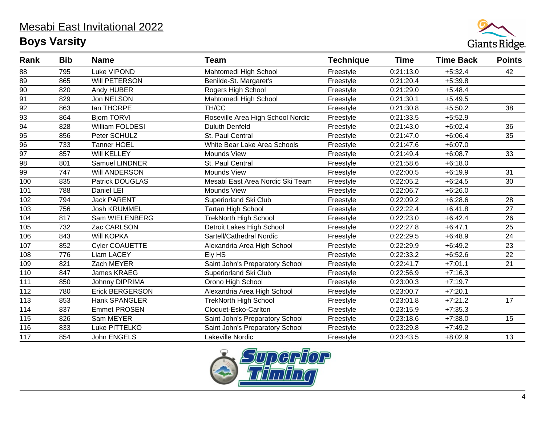

| Rank            | <b>Bib</b> | <b>Name</b>            | <b>Team</b>                       | <b>Technique</b> | <b>Time</b> | <b>Time Back</b> | <b>Points</b> |
|-----------------|------------|------------------------|-----------------------------------|------------------|-------------|------------------|---------------|
| 88              | 795        | Luke VIPOND            | Mahtomedi High School             | Freestyle        | 0:21:13.0   | $+5:32.4$        | 42            |
| 89              | 865        | Will PETERSON          | Benilde-St. Margaret's            | Freestyle        | 0:21:20.4   | $+5:39.8$        |               |
| 90              | 820        | Andy HUBER             | Rogers High School                | Freestyle        | 0:21:29.0   | $+5.48.4$        |               |
| 91              | 829        | Jon NELSON             | Mahtomedi High School             | Freestyle        | 0:21:30.1   | $+5:49.5$        |               |
| 92              | 863        | lan THORPE             | TH/CC                             | Freestyle        | 0:21:30.8   | $+5:50.2$        | 38            |
| 93              | 864        | <b>Bjorn TORVI</b>     | Roseville Area High School Nordic | Freestyle        | 0:21:33.5   | $+5:52.9$        |               |
| $\overline{94}$ | 828        | William FOLDESI        | <b>Duluth Denfeld</b>             | Freestyle        | 0:21:43.0   | $+6:02.4$        | 36            |
| 95              | 856        | Peter SCHULZ           | St. Paul Central                  | Freestyle        | 0:21:47.0   | $+6:06.4$        | 35            |
| $\overline{96}$ | 733        | <b>Tanner HOEL</b>     | White Bear Lake Area Schools      | Freestyle        | 0:21:47.6   | $+6:07.0$        |               |
| 97              | 857        | Will KELLEY            | Mounds View                       | Freestyle        | 0:21:49.4   | $+6:08.7$        | 33            |
| $\overline{98}$ | 801        | Samuel LINDNER         | St. Paul Central                  | Freestyle        | 0:21:58.6   | $+6:18.0$        |               |
| 99              | 747        | Will ANDERSON          | <b>Mounds View</b>                | Freestyle        | 0:22:00.5   | $+6:19.9$        | 31            |
| 100             | 835        | Patrick DOUGLAS        | Mesabi East Area Nordic Ski Team  | Freestyle        | 0:22:05.2   | $+6:24.5$        | 30            |
| 101             | 788        | Daniel LEI             | <b>Mounds View</b>                | Freestyle        | 0:22:06.7   | $+6:26.0$        |               |
| 102             | 794        | <b>Jack PARENT</b>     | Superiorland Ski Club             | Freestyle        | 0:22:09.2   | $+6:28.6$        | 28            |
| 103             | 756        | <b>Josh KRUMMEL</b>    | <b>Tartan High School</b>         | Freestyle        | 0:22:22.4   | $+6:41.8$        | 27            |
| 104             | 817        | Sam WIELENBERG         | <b>TrekNorth High School</b>      | Freestyle        | 0:22:23.0   | $+6:42.4$        | 26            |
| 105             | 732        | Zac CARLSON            | Detroit Lakes High School         | Freestyle        | 0:22:27.8   | $+6:47.1$        | 25            |
| 106             | 843        | <b>Will KOPKA</b>      | Sartell/Cathedral Nordic          | Freestyle        | 0:22:29.5   | $+6:48.9$        | 24            |
| 107             | 852        | Cyler COAUETTE         | Alexandria Area High School       | Freestyle        | 0:22:29.9   | $+6:49.2$        | 23            |
| 108             | 776        | <b>Liam LACEY</b>      | Ely HS                            | Freestyle        | 0:22:33.2   | $+6:52.6$        | 22            |
| 109             | 821        | Zach MEYER             | Saint John's Preparatory School   | Freestyle        | 0:22:41.7   | $+7:01.1$        | 21            |
| 110             | 847        | <b>James KRAEG</b>     | Superiorland Ski Club             | Freestyle        | 0:22:56.9   | $+7:16.3$        |               |
| 111             | 850        | <b>Johnny DIPRIMA</b>  | Orono High School                 | Freestyle        | 0:23:00.3   | $+7:19.7$        |               |
| 112             | 780        | <b>Erick BERGERSON</b> | Alexandria Area High School       | Freestyle        | 0:23:00.7   | $+7:20.1$        |               |
| 113             | 853        | Hank SPANGLER          | <b>TrekNorth High School</b>      | Freestyle        | 0:23:01.8   | $+7:21.2$        | 17            |
| 114             | 837        | <b>Emmet PROSEN</b>    | Cloquet-Esko-Carlton              | Freestyle        | 0:23:15.9   | $+7:35.3$        |               |
| 115             | 826        | Sam MEYER              | Saint John's Preparatory School   | Freestyle        | 0:23:18.6   | $+7:38.0$        | 15            |
| 116             | 833        | Luke PITTELKO          | Saint John's Preparatory School   | Freestyle        | 0:23:29.8   | $+7:49.2$        |               |
| 117             | 854        | John ENGELS            | Lakeville Nordic                  | Freestyle        | 0:23:43.5   | $+8:02.9$        | 13            |